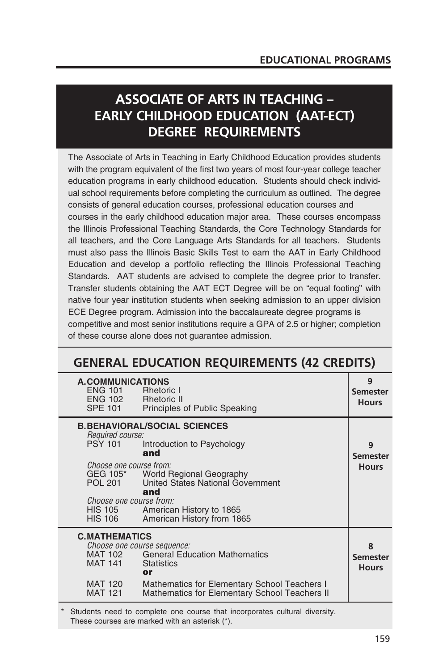# **ASSOCIATE OF ARTS IN TEACHING – EARLY CHILDHOOD EDUCATION (AAT-ECT) DEGREE REQUIREMENTS**

The Associate of Arts in Teaching in Early Childhood Education provides students with the program equivalent of the first two years of most four-year college teacher education programs in early childhood education. Students should check individual school requirements before completing the curriculum as outlined. The degree consists of general education courses, professional education courses and courses in the early childhood education major area. These courses encompass the Illinois Professional Teaching Standards, the Core Technology Standards for all teachers, and the Core Language Arts Standards for all teachers. Students must also pass the Illinois Basic Skills Test to earn the AAT in Early Childhood Education and develop a portfolio reflecting the Illinois Professional Teaching Standards. AAT students are advised to complete the degree prior to transfer. Transfer students obtaining the AAT ECT Degree will be on "equal footing" with native four year institution students when seeking admission to an upper division ECE Degree program. Admission into the baccalaureate degree programs is competitive and most senior institutions require a GPA of 2.5 or higher; completion of these course alone does not guarantee admission.

## **GENERAL EDUCATION REQUIREMENTS (42 CREDITS)**

| <b>A.COMMUNICATIONS</b><br>ENG 101 Rhetoric I<br>ENG 102 Rhetoric II<br><b>SPE 101</b><br>Principles of Public Speaking                                                                                                                                                                                                                                     | 9<br><b>Semester</b><br><b>Hours</b> |
|-------------------------------------------------------------------------------------------------------------------------------------------------------------------------------------------------------------------------------------------------------------------------------------------------------------------------------------------------------------|--------------------------------------|
| <b>B.BEHAVIORAL/SOCIAL SCIENCES</b><br>Required course:<br><b>PSY 101</b><br>Introduction to Psychology<br>and<br>Choose one course from:<br>GEG 105* World Regional Geography<br>POL 201 United States National Government<br>and<br>Choose one course from:<br><b>HIS 105</b><br>American History to 1865<br>American History from 1865<br><b>HIS 106</b> | 9<br><b>Semester</b><br><b>Hours</b> |
| <b>C.MATHEMATICS</b><br>Choose one course sequence:<br>MAT 102 General Education Mathematics<br>MAT 141 Statistics<br>or<br>MAT 120<br>Mathematics for Elementary School Teachers I<br>Mathematics for Elementary School Teachers II<br><b>MAT 121</b>                                                                                                      | 8<br><b>Semester</b><br><b>Hours</b> |

\* Students need to complete one course that incorporates cultural diversity. These courses are marked with an asterisk (\*).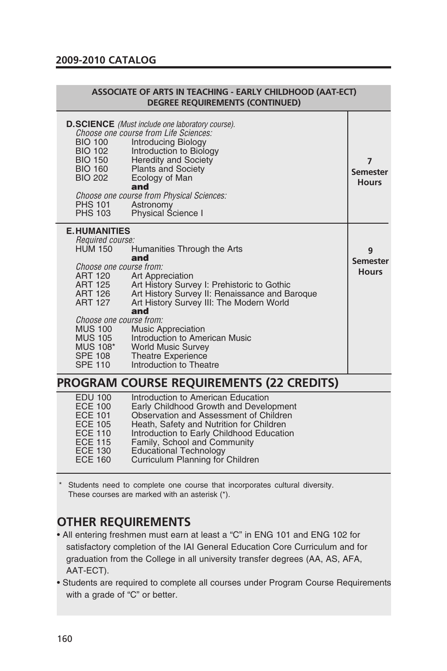| ASSOCIATE OF ARTS IN TEACHING - EARLY CHILDHOOD (AAT-ECT)<br><b>DEGREE REOUIREMENTS (CONTINUED)</b>                                                                                                                                                                                                                                                          |                                                   |  |
|--------------------------------------------------------------------------------------------------------------------------------------------------------------------------------------------------------------------------------------------------------------------------------------------------------------------------------------------------------------|---------------------------------------------------|--|
| <b>D.SCIENCE</b> (Must include one laboratory course).<br>Choose one course from Life Sciences:<br><b>BIO 100</b><br>Introducing Biology<br><b>BIO 102</b><br>Introduction to Biology<br>Heredity and Society<br><b>BIO 150</b><br><b>BIO 160</b><br><b>Plants and Society</b><br><b>BIO 202</b><br>Ecology of Man<br>and                                    | $\overline{ }$<br><b>Semester</b><br><b>Hours</b> |  |
| Choose one course from Physical Sciences:<br><b>PHS 101</b><br>Astronomy<br><b>PHS 103</b><br><b>Physical Science I</b>                                                                                                                                                                                                                                      |                                                   |  |
| <b>E.HUMANITIES</b><br>Required course:<br><b>HUM 150</b><br>Humanities Through the Arts<br>and<br>Choose one course from:<br>ART 120<br><b>Art Appreciation</b><br>ART 125<br>Art History Survey I: Prehistoric to Gothic<br>Art History Survey II: Renaissance and Baroque<br>ART 126<br>Art History Survey III: The Modern World<br><b>ART 127</b><br>and | 9<br><b>Semester</b><br><b>Hours</b>              |  |
| Choose one course from:<br><b>MUS 100</b><br><b>Music Appreciation</b><br><b>MUS 105</b><br>Introduction to American Music<br>MUS 108*<br><b>World Music Survey</b><br><b>SPE 108</b><br><b>Theatre Experience</b><br>Introduction to Theatre<br><b>SPE 110</b>                                                                                              |                                                   |  |

### **PROGRAM COURSE REQUIREMENTS (22 CREDITS)**

| <b>EDU 100</b> | Introduction to American Education        |
|----------------|-------------------------------------------|
| <b>ECE 100</b> | Early Childhood Growth and Development    |
| <b>ECE 101</b> | Observation and Assessment of Children    |
| <b>ECE 105</b> | Heath, Safety and Nutrition for Children  |
| <b>ECE 110</b> | Introduction to Early Childhood Education |
| <b>ECE 115</b> | Family, School and Community              |
| <b>ECE 130</b> | <b>Educational Technology</b>             |
| <b>ECE 160</b> | Curriculum Planning for Children          |
|                |                                           |

\* Students need to complete one course that incorporates cultural diversity. These courses are marked with an asterisk (\*).

## **OTHER REQUIREMENTS**

- All entering freshmen must earn at least a "C" in ENG 101 and ENG 102 for satisfactory completion of the IAI General Education Core Curriculum and for graduation from the College in all university transfer degrees (AA, AS, AFA, AAT-ECT).
- Students are required to complete all courses under Program Course Requirements with a grade of "C" or better.